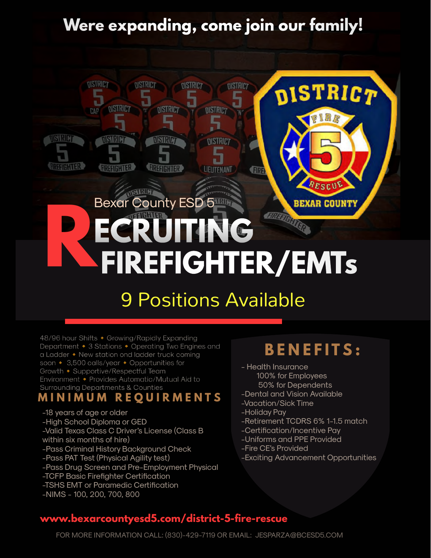# **Were expanding, come join our family!**



# 9 Positions Available

48/96 hour Shifts • Growing/Rapidly Expanding Department • 3 Stations • Operating Two Engines and a Ladder • New station ond ladder truck coming soon • 3,500 calls/year • Opportunities for Growth • Supportive/Respectful Team Environment • Provides Automatic/Mutual Aid to

# Surrounding Departments & Counties<br>**M I N I M U M** R E **Q U I R M E N T S**

- -18 years of age or older -High School Diploma or GED -Valid Texas Class C Driver's License (Class B within six months of hire) -Pass Criminal History Background Check -Pass PAT Test (Physical Agility test) -Pass Drug Screen and Pre-Employment Physical -TCFP Basic Firefighter Certification -TSHS EMT or Paramedic Certification
- -NIMS 100, 200, 700, 800

## **B E N E F I T S :**

- Health Insurance 100% for Employees
	- 50% for Dependents
- -Dental and Vision Available
- -Vacation/Sick Time
- -Holiday Pay
- -Retirement TCDRS 6% 1-1.5 match
- -Certification/Incentive Pay
- -Uniforms and PPE Provided
- -Fire CE's Provided
- -Exciting Advancement Opportunities

### **www.bexarcountyesd5.com/district-5-fire-rescue**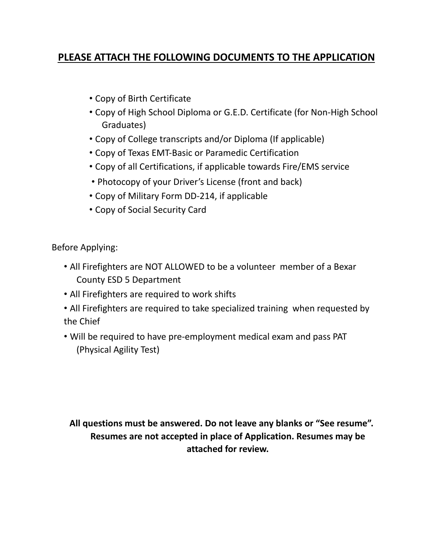### **PLEASE ATTACH THE FOLLOWING DOCUMENTS TO THE APPLICATION**

- Copy of Birth Certificate
- Copy of High School Diploma or G.E.D. Certificate (for Non-High School Graduates)
- Copy of College transcripts and/or Diploma (If applicable)
- Copy of Texas EMT-Basic or Paramedic Certification
- Copy of all Certifications, if applicable towards Fire/EMS service
- Photocopy of your Driver's License (front and back)
- Copy of Military Form DD-214, if applicable
- Copy of Social Security Card

Before Applying:

- All Firefighters are NOT ALLOWED to be a volunteer member of a Bexar County ESD 5 Department
- All Firefighters are required to work shifts
- All Firefighters are required to take specialized training when requested by the Chief
- Will be required to have pre-employment medical exam and pass PAT (Physical Agility Test)

**All questions must be answered. Do not leave any blanks or "See resume". Resumes are not accepted in place of Application. Resumes may be attached for review.**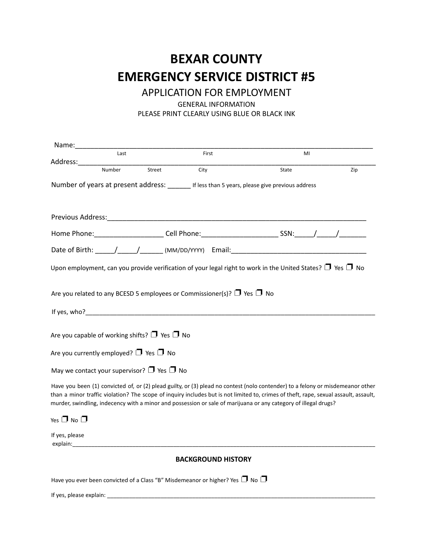### **BEXAR COUNTY EMERGENCY SERVICE DISTRICT #5**

APPLICATION FOR EMPLOYMENT

GENERAL INFORMATION

PLEASE PRINT CLEARLY USING BLUE OR BLACK INK

| Name:____________    |                                                                                                                                                                                                                                |        |                                                                                         |                                                                                                                                                                                                                                                                                                                                                                                           |     |
|----------------------|--------------------------------------------------------------------------------------------------------------------------------------------------------------------------------------------------------------------------------|--------|-----------------------------------------------------------------------------------------|-------------------------------------------------------------------------------------------------------------------------------------------------------------------------------------------------------------------------------------------------------------------------------------------------------------------------------------------------------------------------------------------|-----|
|                      | Last                                                                                                                                                                                                                           |        | First                                                                                   | MI                                                                                                                                                                                                                                                                                                                                                                                        |     |
|                      | Number                                                                                                                                                                                                                         | Street | City                                                                                    | State                                                                                                                                                                                                                                                                                                                                                                                     | Zip |
|                      |                                                                                                                                                                                                                                |        |                                                                                         | Number of years at present address: ________ If less than 5 years, please give previous address                                                                                                                                                                                                                                                                                           |     |
|                      |                                                                                                                                                                                                                                |        |                                                                                         |                                                                                                                                                                                                                                                                                                                                                                                           |     |
|                      |                                                                                                                                                                                                                                |        |                                                                                         |                                                                                                                                                                                                                                                                                                                                                                                           |     |
|                      |                                                                                                                                                                                                                                |        |                                                                                         |                                                                                                                                                                                                                                                                                                                                                                                           |     |
|                      |                                                                                                                                                                                                                                |        |                                                                                         |                                                                                                                                                                                                                                                                                                                                                                                           |     |
|                      |                                                                                                                                                                                                                                |        |                                                                                         | Upon employment, can you provide verification of your legal right to work in the United States? $\Box$ Yes $\Box$ No                                                                                                                                                                                                                                                                      |     |
|                      |                                                                                                                                                                                                                                |        | Are you related to any BCESD 5 employees or Commissioner(s)? $\Box$ Yes $\Box$ No       |                                                                                                                                                                                                                                                                                                                                                                                           |     |
|                      |                                                                                                                                                                                                                                |        | If yes, who?                                                                            |                                                                                                                                                                                                                                                                                                                                                                                           |     |
|                      | Are you capable of working shifts? $\Box$ Yes $\Box$ No                                                                                                                                                                        |        |                                                                                         |                                                                                                                                                                                                                                                                                                                                                                                           |     |
|                      | Are you currently employed? $\Box$ Yes $\Box$ No                                                                                                                                                                               |        |                                                                                         |                                                                                                                                                                                                                                                                                                                                                                                           |     |
|                      | May we contact your supervisor? $\Box$ Yes $\Box$ No                                                                                                                                                                           |        |                                                                                         |                                                                                                                                                                                                                                                                                                                                                                                           |     |
|                      |                                                                                                                                                                                                                                |        |                                                                                         | Have you been (1) convicted of, or (2) plead guilty, or (3) plead no contest (nolo contender) to a felony or misdemeanor other<br>than a minor traffic violation? The scope of inquiry includes but is not limited to, crimes of theft, rape, sexual assault, assault,<br>murder, swindling, indecency with a minor and possession or sale of marijuana or any category of illegal drugs? |     |
| Yes $\Box$ No $\Box$ |                                                                                                                                                                                                                                |        |                                                                                         |                                                                                                                                                                                                                                                                                                                                                                                           |     |
| If yes, please       | explain: the contract of the contract of the contract of the contract of the contract of the contract of the contract of the contract of the contract of the contract of the contract of the contract of the contract of the c |        |                                                                                         |                                                                                                                                                                                                                                                                                                                                                                                           |     |
|                      |                                                                                                                                                                                                                                |        | <b>BACKGROUND HISTORY</b>                                                               |                                                                                                                                                                                                                                                                                                                                                                                           |     |
|                      |                                                                                                                                                                                                                                |        | Have you ever been convicted of a Class "B" Misdemeanor or higher? Yes $\Box$ No $\Box$ |                                                                                                                                                                                                                                                                                                                                                                                           |     |

If yes, please explain: \_\_\_\_\_\_\_\_\_\_\_\_\_\_\_\_\_\_\_\_\_\_\_\_\_\_\_\_\_\_\_\_\_\_\_\_\_\_\_\_\_\_\_\_\_\_\_\_\_\_\_\_\_\_\_\_\_\_\_\_\_\_\_\_\_\_\_\_\_\_\_\_\_\_\_\_\_\_\_\_\_\_\_\_\_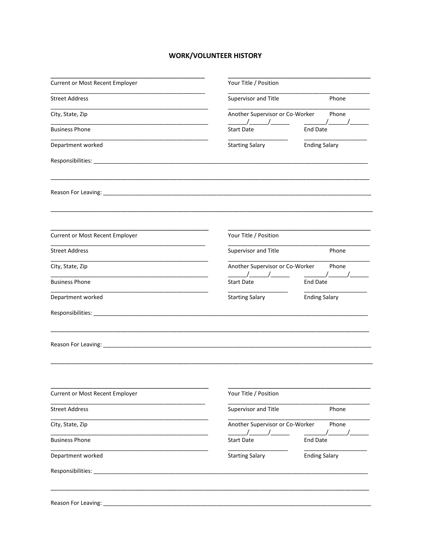#### **WORK/VOLUNTEER HISTORY**

| <b>Current or Most Recent Employer</b> | Your Title / Position                         |                      |
|----------------------------------------|-----------------------------------------------|----------------------|
| <b>Street Address</b>                  | Supervisor and Title                          | Phone                |
| City, State, Zip                       | Another Supervisor or Co-Worker               | Phone                |
| <b>Business Phone</b>                  | $\overline{\phantom{a}}$<br><b>Start Date</b> | <b>End Date</b>      |
| Department worked                      | <b>Starting Salary</b>                        | <b>Ending Salary</b> |
|                                        |                                               |                      |
|                                        |                                               |                      |
| <b>Current or Most Recent Employer</b> | Your Title / Position                         |                      |
| <b>Street Address</b>                  | Supervisor and Title                          | Phone                |
| City, State, Zip                       | Another Supervisor or Co-Worker               | Phone                |
| <b>Business Phone</b>                  | $\sqrt{2}$<br><b>Start Date</b>               | End Date             |
| Department worked                      | <b>Starting Salary</b>                        | <b>Ending Salary</b> |
|                                        |                                               |                      |
|                                        |                                               |                      |
| Current or Most Recent Employer        | Your Title / Position                         |                      |
| <b>Street Address</b>                  | Supervisor and Title                          | Phone                |
| City, State, Zip                       | Another Supervisor or Co-Worker               | Phone                |
| <b>Business Phone</b>                  | <b>Start Date</b>                             | <b>End Date</b>      |
|                                        | <b>Starting Salary</b>                        | <b>Ending Salary</b> |
| Department worked                      |                                               |                      |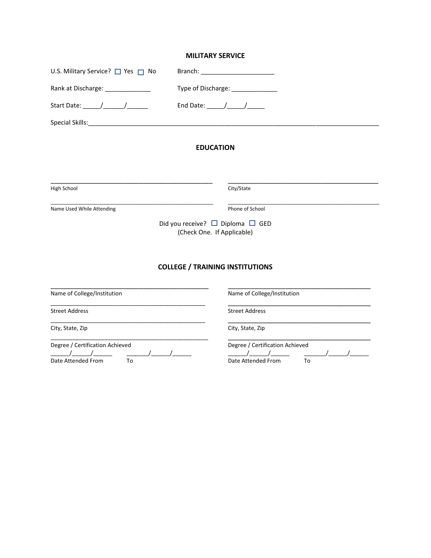#### **MILITARY SERVICE**

| Branch:                                                                                                                                                                                                                                                                                                                                                                                                                                                      |  |  |
|--------------------------------------------------------------------------------------------------------------------------------------------------------------------------------------------------------------------------------------------------------------------------------------------------------------------------------------------------------------------------------------------------------------------------------------------------------------|--|--|
| Type of Discharge: ______________<br>End Date: $\frac{1}{\sqrt{1-\frac{1}{2}}}\frac{1}{\sqrt{1-\frac{1}{2}}}\frac{1}{\sqrt{1-\frac{1}{2}}}\frac{1}{\sqrt{1-\frac{1}{2}}}\frac{1}{\sqrt{1-\frac{1}{2}}}\frac{1}{\sqrt{1-\frac{1}{2}}}\frac{1}{\sqrt{1-\frac{1}{2}}}\frac{1}{\sqrt{1-\frac{1}{2}}}\frac{1}{\sqrt{1-\frac{1}{2}}}\frac{1}{\sqrt{1-\frac{1}{2}}}\frac{1}{\sqrt{1-\frac{1}{2}}}\frac{1}{\sqrt{1-\frac{1}{2}}}\frac{1}{\sqrt{1-\frac{1}{2}}}\frac$ |  |  |
|                                                                                                                                                                                                                                                                                                                                                                                                                                                              |  |  |
| <b>EDUCATION</b>                                                                                                                                                                                                                                                                                                                                                                                                                                             |  |  |
| City/State                                                                                                                                                                                                                                                                                                                                                                                                                                                   |  |  |
| Phone of School<br>Did you receive? $\Box$ Diploma $\Box$ GED<br>(Check One. If Applicable)                                                                                                                                                                                                                                                                                                                                                                  |  |  |
| <b>COLLEGE / TRAINING INSTITUTIONS</b>                                                                                                                                                                                                                                                                                                                                                                                                                       |  |  |
| Name of College/Institution                                                                                                                                                                                                                                                                                                                                                                                                                                  |  |  |
| <b>Street Address</b>                                                                                                                                                                                                                                                                                                                                                                                                                                        |  |  |
| City, State, Zip                                                                                                                                                                                                                                                                                                                                                                                                                                             |  |  |
| Degree / Certification Achieved<br>Date Attended From<br>To                                                                                                                                                                                                                                                                                                                                                                                                  |  |  |
|                                                                                                                                                                                                                                                                                                                                                                                                                                                              |  |  |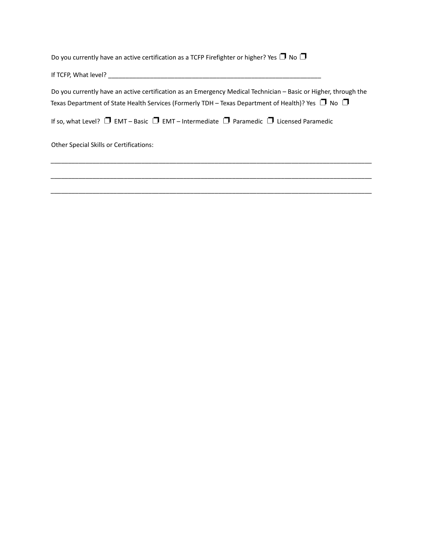Do you currently have an active certification as a TCFP Firefighter or higher? Yes  $\Box$  No  $\Box$ 

If TCFP, What level? \_\_\_\_\_\_\_\_\_\_\_\_\_\_\_\_\_\_\_\_\_\_\_\_\_\_\_\_\_\_\_\_\_\_\_\_\_\_\_\_\_\_\_\_\_\_\_\_\_\_\_\_\_\_\_\_\_\_\_\_\_

Do you currently have an active certification as an Emergency Medical Technician – Basic or Higher, through the Texas Department of State Health Services (Formerly TDH – Texas Department of Health)? Yes  $\Box$  No  $\Box$ 

\_\_\_\_\_\_\_\_\_\_\_\_\_\_\_\_\_\_\_\_\_\_\_\_\_\_\_\_\_\_\_\_\_\_\_\_\_\_\_\_\_\_\_\_\_\_\_\_\_\_\_\_\_\_\_\_\_\_\_\_\_\_\_\_\_\_\_\_\_\_\_\_\_\_\_\_\_\_\_\_\_\_\_\_\_\_\_\_\_\_\_\_

\_\_\_\_\_\_\_\_\_\_\_\_\_\_\_\_\_\_\_\_\_\_\_\_\_\_\_\_\_\_\_\_\_\_\_\_\_\_\_\_\_\_\_\_\_\_\_\_\_\_\_\_\_\_\_\_\_\_\_\_\_\_\_\_\_\_\_\_\_\_\_\_\_\_\_\_\_\_\_\_\_\_\_\_\_\_\_\_\_\_\_\_

\_\_\_\_\_\_\_\_\_\_\_\_\_\_\_\_\_\_\_\_\_\_\_\_\_\_\_\_\_\_\_\_\_\_\_\_\_\_\_\_\_\_\_\_\_\_\_\_\_\_\_\_\_\_\_\_\_\_\_\_\_\_\_\_\_\_\_\_\_\_\_\_\_\_\_\_\_\_\_\_\_\_\_\_\_\_\_\_\_\_\_\_

If so, what Level?  $\Box$  EMT – Basic  $\Box$  EMT – Intermediate  $\Box$  Paramedic  $\Box$  Licensed Paramedic

Other Special Skills or Certifications: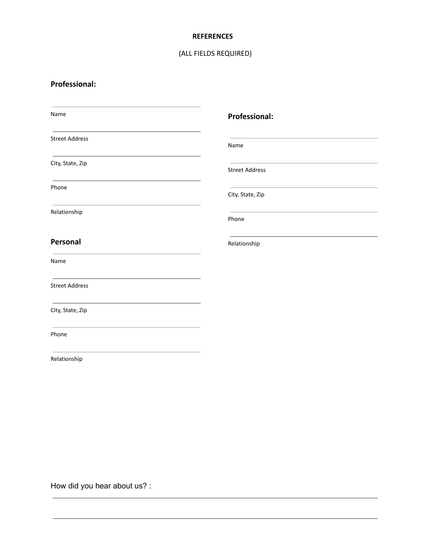#### **REFERENCES**

#### (ALL FIELDS REQUIRED)

### **Professional:**

| Name                                                                                               | <b>Professional:</b>  |
|----------------------------------------------------------------------------------------------------|-----------------------|
| <b>Street Address</b>                                                                              | Name                  |
| City, State, Zip                                                                                   | <b>Street Address</b> |
| the control of the control of the control of the control of the control of the control of<br>Phone | City, State, Zip      |
| Relationship                                                                                       | Phone                 |
| Personal                                                                                           | Relationship          |
| Name                                                                                               |                       |
| <b>Street Address</b>                                                                              |                       |
| City, State, Zip                                                                                   |                       |
| Phone                                                                                              |                       |
| Relationship                                                                                       |                       |
|                                                                                                    |                       |

How did you hear about us? :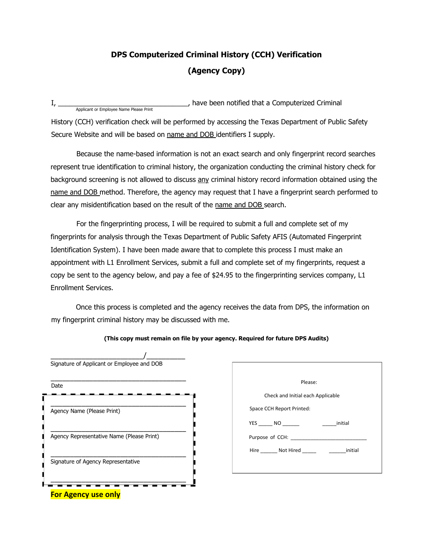### **DPS Computerized Criminal History (CCH) Verification (Agency Copy)**

I, \_\_\_\_\_\_\_\_\_\_\_\_\_\_\_\_\_\_\_\_\_\_\_\_\_\_\_\_\_\_\_\_\_\_, have been notified that a Computerized Criminal Applicant or Employee Name Please Print

History (CCH) verification check will be performed by accessing the Texas Department of Public Safety Secure Website and will be based on name and DOB identifiers I supply.

Because the name-based information is not an exact search and only fingerprint record searches represent true identification to criminal history, the organization conducting the criminal history check for background screening is not allowed to discuss any criminal history record information obtained using the name and DOB method. Therefore, the agency may request that I have a fingerprint search performed to clear any misidentification based on the result of the name and DOB search.

For the fingerprinting process, I will be required to submit a full and complete set of my fingerprints for analysis through the Texas Department of Public Safety AFIS (Automated Fingerprint Identification System). I have been made aware that to complete this process I must make an appointment with L1 Enrollment Services, submit a full and complete set of my fingerprints, request a copy be sent to the agency below, and pay a fee of \$24.95 to the fingerprinting services company, L1 Enrollment Services.

Once this process is completed and the agency receives the data from DPS, the information on my fingerprint criminal history may be discussed with me.

**(This copy must remain on file by your agency. Required for future DPS Audits)**

| Signature of Applicant or Employee and DOB |
|--------------------------------------------|
|                                            |
| Agency Name (Please Print)                 |
| Agency Representative Name (Please Print)  |
| Signature of Agency Representative         |
|                                            |
| <b>For Agency use only</b>                 |

| Please:                                                      |  |  |  |  |
|--------------------------------------------------------------|--|--|--|--|
| Check and Initial each Applicable                            |  |  |  |  |
| Space CCH Report Printed:                                    |  |  |  |  |
| YES NO<br>initial                                            |  |  |  |  |
| Purpose of CCH:                                              |  |  |  |  |
| Hire _________ Not Hired ____________________________initial |  |  |  |  |
|                                                              |  |  |  |  |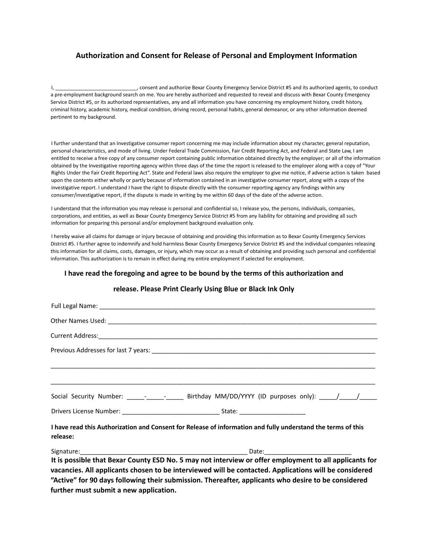#### **Authorization and Consent for Release of Personal and Employment Information**

I, aconsent and authorize Bexar County Emergency Service District #5 and its authorized agents, to conduct a pre-employment background search on me. You are hereby authorized and requested to reveal and discuss with Bexar County Emergency Service District #5, or its authorized representatives, any and all information you have concerning my employment history, credit history, criminal history, academic history, medical condition, driving record, personal habits, general demeanor, or any other information deemed pertinent to my background.

I further understand that an Investigative consumer report concerning me may include information about my character, general reputation, personal characteristics, and mode of living. Under Federal Trade Commission, Fair Credit Reporting Act, and Federal and State Law, I am entitled to receive a free copy of any consumer report containing public information obtained directly by the employer; or all of the information obtained by the Investigative reporting agency within three days of the time the report is released to the employer along with a copy of "Your Rights Under the Fair Credit Reporting Act". State and Federal laws also require the employer to give me notice, if adverse action is taken based upon the contents either wholly or partly because of information contained in an investigative consumer report, along with a copy of the investigative report. I understand I have the right to dispute directly with the consumer reporting agency any findings within any consumer/investigative report, if the dispute is made in writing by me within 60 days of the date of the adverse action.

I understand that the information you may release is personal and confidential so, I release you, the persons, individuals, companies, corporations, and entities, as well as Bexar County Emergency Service District #5 from any liability for obtaining and providing all such information for preparing this personal and/or employment background evaluation only.

I hereby waive all claims for damage or injury because of obtaining and providing this information as to Bexar County Emergency Services District #5. I further agree to indemnify and hold harmless Bexar County Emergency Service District #5 and the individual companies releasing this information for all claims, costs, damages, or injury, which may occur as a result of obtaining and providing such personal and confidential information. This authorization is to remain in effect during my entire employment if selected for employment.

#### **I have read the foregoing and agree to be bound by the terms of this authorization and**

|          | Social Security Number: _____-_______________ Birthday MM/DD/YYYY (ID purposes only): _____/______/          |
|----------|--------------------------------------------------------------------------------------------------------------|
|          |                                                                                                              |
| release: | I have read this Authorization and Consent for Release of information and fully understand the terms of this |
|          |                                                                                                              |
|          | It is possible that Bexar County ESD No. 5 may not interview or offer employment to all applicants for       |
|          | vacancies. All applicants chosen to be interviewed will be contacted. Applications will be considered        |
|          | "Active" for 90 days following their submission. Thereafter, applicants who desire to be considered          |

#### **release. Please Print Clearly Using Blue or Black Ink Only**

**further must submit a new application.**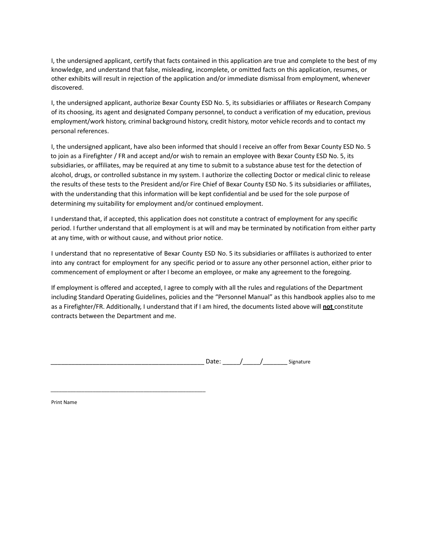I, the undersigned applicant, certify that facts contained in this application are true and complete to the best of my knowledge, and understand that false, misleading, incomplete, or omitted facts on this application, resumes, or other exhibits will result in rejection of the application and/or immediate dismissal from employment, whenever discovered.

I, the undersigned applicant, authorize Bexar County ESD No. 5, its subsidiaries or affiliates or Research Company of its choosing, its agent and designated Company personnel, to conduct a verification of my education, previous employment/work history, criminal background history, credit history, motor vehicle records and to contact my personal references.

I, the undersigned applicant, have also been informed that should I receive an offer from Bexar County ESD No. 5 to join as a Firefighter / FR and accept and/or wish to remain an employee with Bexar County ESD No. 5, its subsidiaries, or affiliates, may be required at any time to submit to a substance abuse test for the detection of alcohol, drugs, or controlled substance in my system. I authorize the collecting Doctor or medical clinic to release the results of these tests to the President and/or Fire Chief of Bexar County ESD No. 5 its subsidiaries or affiliates, with the understanding that this information will be kept confidential and be used for the sole purpose of determining my suitability for employment and/or continued employment.

I understand that, if accepted, this application does not constitute a contract of employment for any specific period. I further understand that all employment is at will and may be terminated by notification from either party at any time, with or without cause, and without prior notice.

I understand that no representative of Bexar County ESD No. 5 its subsidiaries or affiliates is authorized to enter into any contract for employment for any specific period or to assure any other personnel action, either prior to commencement of employment or after I become an employee, or make any agreement to the foregoing.

If employment is offered and accepted, I agree to comply with all the rules and regulations of the Department including Standard Operating Guidelines, policies and the "Personnel Manual" as this handbook applies also to me as a Firefighter/FR. Additionally, I understand that if I am hired, the documents listed above will **not** constitute contracts between the Department and me.

Date:  $\frac{1}{\sqrt{2\pi}}$   $\frac{1}{\sqrt{2\pi}}$  Signature

Print Name

\_\_\_\_\_\_\_\_\_\_\_\_\_\_\_\_\_\_\_\_\_\_\_\_\_\_\_\_\_\_\_\_\_\_\_\_\_\_\_\_\_\_\_\_\_\_\_\_\_\_\_\_\_\_\_